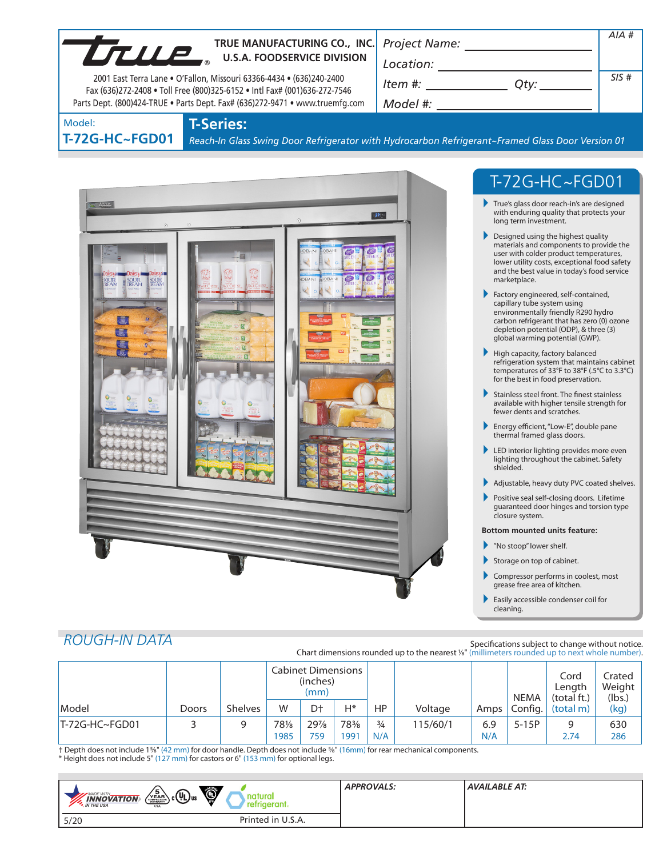| <b>UTILLE</b>         | TRUE MANUFACTURING CO., INC.<br><b>U.S.A. FOODSERVICE DIVISION</b><br>2001 East Terra Lane • O'Fallon, Missouri 63366-4434 • (636)240-2400                | <b>Project Name:</b><br>Location:<br>Item #: |  | AIA#<br>SIS# |
|-----------------------|-----------------------------------------------------------------------------------------------------------------------------------------------------------|----------------------------------------------|--|--------------|
|                       | Fax (636)272-2408 . Toll Free (800)325-6152 . Intl Fax# (001)636-272-7546<br>Parts Dept. (800)424-TRUE • Parts Dept. Fax# (636)272-9471 • www.truemfg.com | Model #:                                     |  |              |
| odel:<br>72G-HC~FGD01 | <b>T-Series:</b><br>Reach-In Glass Swing Door Refrigerator with Hydrocarbon Refrigerant~Framed Glass Door Version 01                                      |                                              |  |              |
|                       |                                                                                                                                                           |                                              |  |              |
|                       |                                                                                                                                                           |                                              |  |              |



# T-72G-HC~FGD01

- True's glass door reach-in's are designed with enduring quality that protects your long term investment.
- **Designed using the highest quality** materials and components to provide the user with colder product temperatures, lower utility costs, exceptional food safety and the best value in today's food service marketplace.
- Factory engineered, self-contained, capillary tube system using environmentally friendly R290 hydro carbon refrigerant that has zero (0) ozone depletion potential (ODP), & three (3) global warming potential (GWP).
- $\blacktriangleright$  High capacity, factory balanced refrigeration system that maintains cabinet temperatures of 33°F to 38°F (.5°C to 3.3°C) for the best in food preservation.
- Stainless steel front. The finest stainless available with higher tensile strength for fewer dents and scratches.
- Energy efficient, "Low-E", double pane thermal framed glass doors.
- LED interior lighting provides more even lighting throughout the cabinet. Safety shielded.
- Adjustable, heavy duty PVC coated shelves.
- Positive seal self-closing doors. Lifetime guaranteed door hinges and torsion type closure system.

#### **Bottom mounted units feature:**

- "No stoop" lower shelf.
- Storage on top of cabinet.
- Compressor performs in coolest, most grease free area of kitchen.
- Easily accessible condenser coil for cleaning.

# *ROUGH-IN DATA*

Model:

T-72G

Specifications subject to change without notice. Chart dimensions rounded up to the nearest %" (millimeters rounded up to next whole number).

|                |       |                | <b>Cabinet Dimensions</b><br>(inches)<br>(mm) |                |      |               |          | <b>NEMA</b> | Cord<br>Length<br>(total ft.) | Crated<br>Weight<br>(lbs.) |      |
|----------------|-------|----------------|-----------------------------------------------|----------------|------|---------------|----------|-------------|-------------------------------|----------------------------|------|
| Model          | Doors | <b>Shelves</b> | W                                             | D <sup>+</sup> | H*   | HP            | Voltage  | Amps        | Config.                       | (total m)                  | (kg) |
| T-72G-HC~FGD01 |       |                | 781/8                                         | 29%            | 78%  | $\frac{3}{4}$ | 115/60/1 | 6.9         | $5-15P$                       | 9                          | 630  |
|                |       |                | 1985                                          | 759            | 1991 | N/A           |          | N/A         |                               | 2.74                       | 286  |

† Depth does not include 15/8" (42 mm) for door handle. Depth does not include 5/8" (16mm) for rear mechanical components. \* Height does not include 5" (127 mm) for castors or 6" (153 mm) for optional legs.

| Ò,<br>່ວ<br><sub>) շ</sub> (Սլ) <sub>սs</sub><br>MADE WITH<br>natural<br>YEAR<br><b>INNOVATION</b><br>refrigerant.<br><b>M</b> THE USA<br><b>USA</b> | <b>APPROVALS:</b> | AVAILABLE AT: |
|------------------------------------------------------------------------------------------------------------------------------------------------------|-------------------|---------------|
| Printed in U.S.A.<br>5/20                                                                                                                            |                   |               |